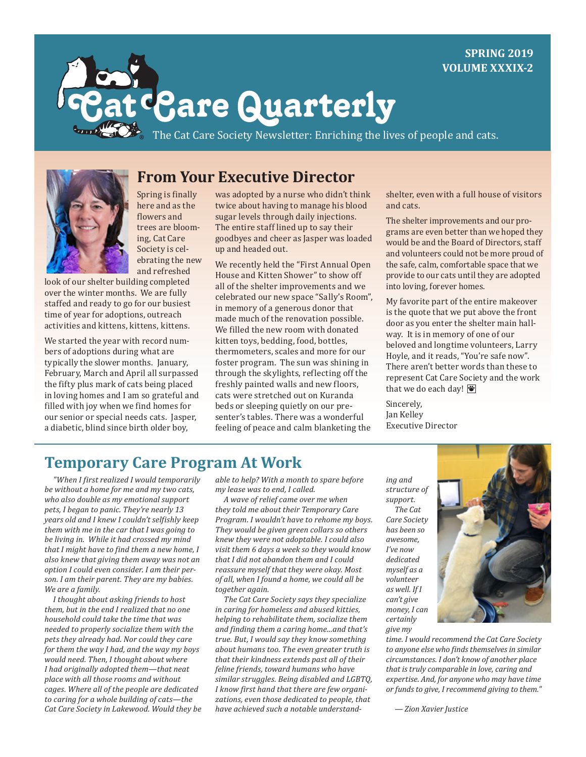#### **SPRING 2019 VOLUME XXXIX-2**



# **: Care Quarterly**

[The Cat Care Society Newsletter: Enriching the lives of people and cats.](CatCareSociety.org)



**From Your Executive Director**

Spring is finally here and as the flowers and trees are blooming, Cat Care Society is celebrating the new and refreshed

look of our shelter building completed over the winter months. We are fully staffed and ready to go for our busiest time of year for adoptions, outreach activities and kittens, kittens, kittens.

We started the year with record numbers of adoptions during what are typically the slower months. January, February, March and April all surpassed the fifty plus mark of cats being placed in loving homes and I am so grateful and filled with joy when we find homes for our senior or special needs cats. Jasper, a diabetic, blind since birth older boy,

was adopted by a nurse who didn't think twice about having to manage his blood sugar levels through daily injections. The entire staff lined up to say their goodbyes and cheer as Jasper was loaded up and headed out.

We recently held the "First Annual Open House and Kitten Shower" to show off all of the shelter improvements and we celebrated our new space "Sally's Room", in memory of a generous donor that made much of the renovation possible. We filled the new room with donated kitten toys, bedding, food, bottles, thermometers, scales and more for our foster program. The sun was shining in through the skylights, reflecting off the freshly painted walls and new floors, cats were stretched out on Kuranda beds or sleeping quietly on our presenter's tables. There was a wonderful feeling of peace and calm blanketing the

shelter, even with a full house of visitors and cats.

The shelter improvements and our programs are even better than we hoped they would be and the Board of Directors, staff and volunteers could not be more proud of the safe, calm, comfortable space that we provide to our cats until they are adopted into loving, forever homes.

My favorite part of the entire makeover is the quote that we put above the front door as you enter the shelter main hallway. It is in memory of one of our beloved and longtime volunteers, Larry Hoyle, and it reads, "You're safe now". There aren't better words than these to represent Cat Care Society and the work that we do each day!  $\mathbf{\ddot{F}}$ 

Sincerely, Jan Kelley Executive Director

### **Temporary Care Program At Work**

*"When I first realized I would temporarily be without a home for me and my two cats, who also double as my emotional support pets, I began to panic. They're nearly 13 years old and I knew I couldn't selfishly keep them with me in the car that I was going to be living in. While it had crossed my mind that I might have to find them a new home, I also knew that giving them away was not an option I could even consider. I am their person. I am their parent. They are my babies. We are a family.*

*I thought about asking friends to host them, but in the end I realized that no one household could take the time that was needed to properly socialize them with the pets they already had. Nor could they care for them the way I had, and the way my boys would need. Then, I thought about where I had originally adopted them—that neat place with all those rooms and without cages. Where all of the people are dedicated to caring for a whole building of cats—the Cat Care Society in Lakewood. Would they be*  *able to help? With a month to spare before my lease was to end, I called.*

*A wave of relief came over me when they told me about their Temporary Care Program. I wouldn't have to rehome my boys. They would be given green collars so others knew they were not adoptable. I could also visit them 6 days a week so they would know that I did not abandon them and I could reassure myself that they were okay. Most of all, when I found a home, we could all be together again.* 

*The Cat Care Society says they specialize in caring for homeless and abused kitties, helping to rehabilitate them, socialize them and finding them a caring home...and that's true. But, I would say they know something about humans too. The even greater truth is that their kindness extends past all of their feline friends, toward humans who have similar struggles. Being disabled and LGBTQ, I know first hand that there are few organizations, even those dedicated to people, that have achieved such a notable understand-*

*ing and structure of support. The Cat Care Society has been so awesome, I've now dedicated myself as a volunteer as well. If I can't give money, I can certainly give my* 



*time. I would recommend the Cat Care Society to anyone else who finds themselves in similar circumstances. I don't know of another place that is truly comparable in love, caring and expertise. And, for anyone who may have time or funds to give, I recommend giving to them."*

*<sup>—</sup> Zion Xavier Justice*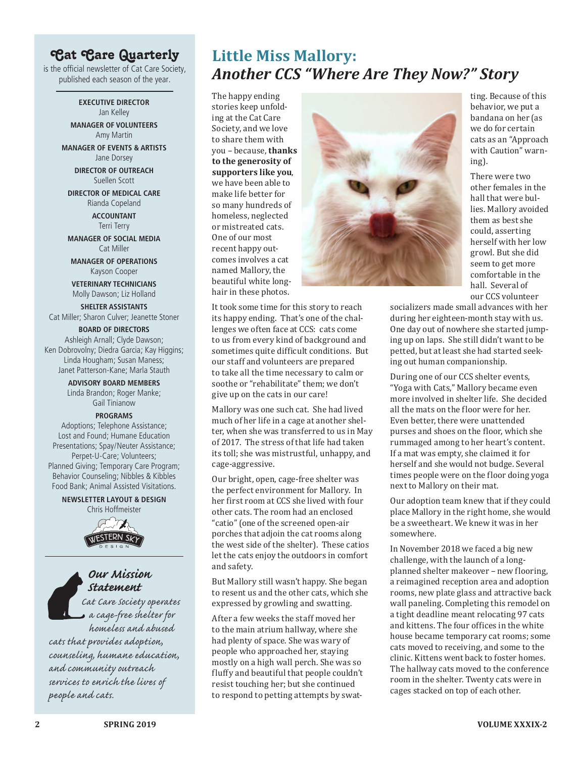### Cat Care Quarterly

is the official newsletter of Cat Care Society, published each season of the year.

> **EXECUTIVE DIRECTOR** Jan Kelley

**MANAGER OF VOLUNTEERS** Amy Martin

**MANAGER OF EVENTS & ARTISTS** Jane Dorsey

> **DIRECTOR OF OUTREACH** Suellen Scott

**DIRECTOR OF MEDICAL CARE** Rianda Copeland

> **ACCOUNTANT** Terri Terry

**MANAGER OF SOCIAL MEDIA** Cat Miller

**MANAGER OF OPERATIONS** Kayson Cooper

**VETERINARY TECHNICIANS** Molly Dawson; Liz Holland

**SHELTER ASSISTANTS** Cat Miller; Sharon Culver; Jeanette Stoner

#### **BOARD OF DIRECTORS**

Ashleigh Arnall; Clyde Dawson; Ken Dobrovolny; Diedra Garcia; Kay Higgins; Linda Hougham; Susan Maness; Janet Patterson-Kane; Marla Stauth

> **ADVISORY BOARD MEMBERS** Linda Brandon; Roger Manke; Gail Tinianow

#### **PROGRAMS**

Adoptions; Telephone Assistance; Lost and Found; Humane Education Presentations; Spay/Neuter Assistance; Perpet-U-Care; Volunteers; Planned Giving; Temporary Care Program; Behavior Counseling; Nibbles & Kibbles Food Bank; Animal Assisted Visitations.

> **NEWSLETTER LAYOUT & DESIGN** Chris Hoffmeister





*Cat Care Society operates a cage-free shelter for* 

*homeless and abused cats that provides adoption, counseling, humane education, and community outreach services to enrich the lives of people and cats.*

## **Little Miss Mallory:**  *Another CCS "Where Are They Now?" Story*

The happy ending stories keep unfolding at the Cat Care Society, and we love to share them with you – because, **thanks to the generosity of supporters like you**, we have been able to make life better for so many hundreds of homeless, neglected or mistreated cats. One of our most recent happy outcomes involves a cat named Mallory, the beautiful white longhair in these photos.

It took some time for this story to reach its happy ending. That's one of the challenges we often face at CCS: cats come to us from every kind of background and sometimes quite difficult conditions. But our staff and volunteers are prepared to take all the time necessary to calm or soothe or "rehabilitate" them; we don't give up on the cats in our care!

Mallory was one such cat. She had lived much of her life in a cage at another shelter, when she was transferred to us in May of 2017. The stress of that life had taken its toll; she was mistrustful, unhappy, and cage-aggressive.

Our bright, open, cage-free shelter was the perfect environment for Mallory. In her first room at CCS she lived with four other cats. The room had an enclosed "catio" (one of the screened open-air porches that adjoin the cat rooms along the west side of the shelter). These catios let the cats enjoy the outdoors in comfort and safety.

But Mallory still wasn't happy. She began to resent us and the other cats, which she expressed by growling and swatting.

After a few weeks the staff moved her to the main atrium hallway, where she had plenty of space. She was wary of people who approached her, staying mostly on a high wall perch. She was so fluffy and beautiful that people couldn't resist touching her; but she continued to respond to petting attempts by swat-



ting. Because of this behavior, we put a bandana on her (as we do for certain cats as an "Approach with Caution" warning).

There were two other females in the hall that were bullies. Mallory avoided them as best she could, asserting herself with her low growl. But she did seem to get more comfortable in the hall. Several of our CCS volunteer

socializers made small advances with her during her eighteen-month stay with us. One day out of nowhere she started jumping up on laps. She still didn't want to be petted, but at least she had started seeking out human companionship.

During one of our CCS shelter events, "Yoga with Cats," Mallory became even more involved in shelter life. She decided all the mats on the floor were for her. Even better, there were unattended purses and shoes on the floor, which she rummaged among to her heart's content. If a mat was empty, she claimed it for herself and she would not budge. Several times people were on the floor doing yoga next to Mallory on their mat.

Our adoption team knew that if they could place Mallory in the right home, she would be a sweetheart. We knew it was in her somewhere.

In November 2018 we faced a big new challenge, with the launch of a longplanned shelter makeover – new flooring, a reimagined reception area and adoption rooms, new plate glass and attractive back wall paneling. Completing this remodel on a tight deadline meant relocating 97 cats and kittens. The four offices in the white house became temporary cat rooms; some cats moved to receiving, and some to the clinic. Kittens went back to foster homes. The hallway cats moved to the conference room in the shelter. Twenty cats were in cages stacked on top of each other.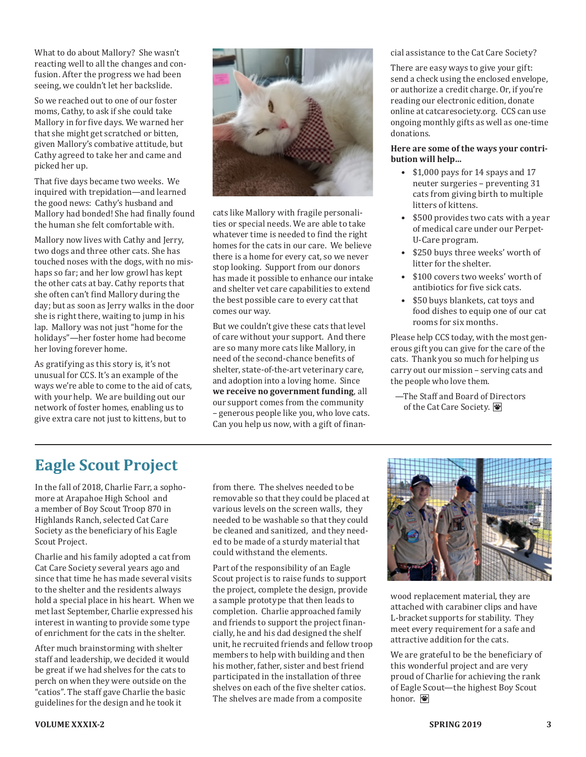What to do about Mallory? She wasn't reacting well to all the changes and confusion. After the progress we had been seeing, we couldn't let her backslide.

So we reached out to one of our foster moms, Cathy, to ask if she could take Mallory in for five days. We warned her that she might get scratched or bitten, given Mallory's combative attitude, but Cathy agreed to take her and came and picked her up.

That five days became two weeks. We inquired with trepidation—and learned the good news: Cathy's husband and Mallory had bonded! She had finally found the human she felt comfortable with.

Mallory now lives with Cathy and Jerry, two dogs and three other cats. She has touched noses with the dogs, with no mishaps so far; and her low growl has kept the other cats at bay. Cathy reports that she often can't find Mallory during the day; but as soon as Jerry walks in the door she is right there, waiting to jump in his lap. Mallory was not just "home for the holidays"—her foster home had become her loving forever home.

As gratifying as this story is, it's not unusual for CCS. It's an example of the ways we're able to come to the aid of cats, with your help. We are building out our network of foster homes, enabling us to give extra care not just to kittens, but to



cats like Mallory with fragile personalities or special needs. We are able to take whatever time is needed to find the right homes for the cats in our care. We believe there is a home for every cat, so we never stop looking. Support from our donors has made it possible to enhance our intake and shelter vet care capabilities to extend the best possible care to every cat that comes our way.

But we couldn't give these cats that level of care without your support. And there are so many more cats like Mallory, in need of the second-chance benefits of shelter, state-of-the-art veterinary care, and adoption into a loving home. Since **we receive no government funding**, all our support comes from the community – generous people like you, who love cats. Can you help us now, with a gift of financial assistance to the Cat Care Society?

There are easy ways to give your gift: send a check using the enclosed envelope, or authorize a credit charge. Or, if you're reading our electronic edition, donate online at [catcaresociety.org](http://catcaresociety.org). CCS can use ongoing monthly gifts as well as one-time donations.

#### **Here are some of the ways your contribution will help…**

- \$1,000 pays for 14 spays and 17 neuter surgeries – preventing 31 cats from giving birth to multiple litters of kittens.
- \$500 provides two cats with a year of medical care under our Perpet-U-Care program.
- \$250 buys three weeks' worth of litter for the shelter.
- \$100 covers two weeks' worth of antibiotics for five sick cats.
- \$50 buys blankets, cat toys and food dishes to equip one of our cat rooms for six months.

Please help CCS today, with the most generous gift you can give for the care of the cats. Thank you so much for helping us carry out our mission – serving cats and the people who love them.

—The Staff and Board of Directors of the Cat Care Society.

# **Eagle Scout Project**

In the fall of 2018, Charlie Farr, a sophomore at Arapahoe High School and a member of Boy Scout Troop 870 in Highlands Ranch, selected Cat Care Society as the beneficiary of his Eagle Scout Project.

Charlie and his family adopted a cat from Cat Care Society several years ago and since that time he has made several visits to the shelter and the residents always hold a special place in his heart. When we met last September, Charlie expressed his interest in wanting to provide some type of enrichment for the cats in the shelter.

After much brainstorming with shelter staff and leadership, we decided it would be great if we had shelves for the cats to perch on when they were outside on the "catios". The staff gave Charlie the basic guidelines for the design and he took it

from there. The shelves needed to be removable so that they could be placed at various levels on the screen walls, they needed to be washable so that they could be cleaned and sanitized, and they needed to be made of a sturdy material that could withstand the elements.

Part of the responsibility of an Eagle Scout project is to raise funds to support the project, complete the design, provide a sample prototype that then leads to completion. Charlie approached family and friends to support the project financially, he and his dad designed the shelf unit, he recruited friends and fellow troop members to help with building and then his mother, father, sister and best friend participated in the installation of three shelves on each of the five shelter catios. The shelves are made from a composite



wood replacement material, they are attached with carabiner clips and have L-bracket supports for stability. They meet every requirement for a safe and attractive addition for the cats.

We are grateful to be the beneficiary of this wonderful project and are very proud of Charlie for achieving the rank of Eagle Scout—the highest Boy Scout honor.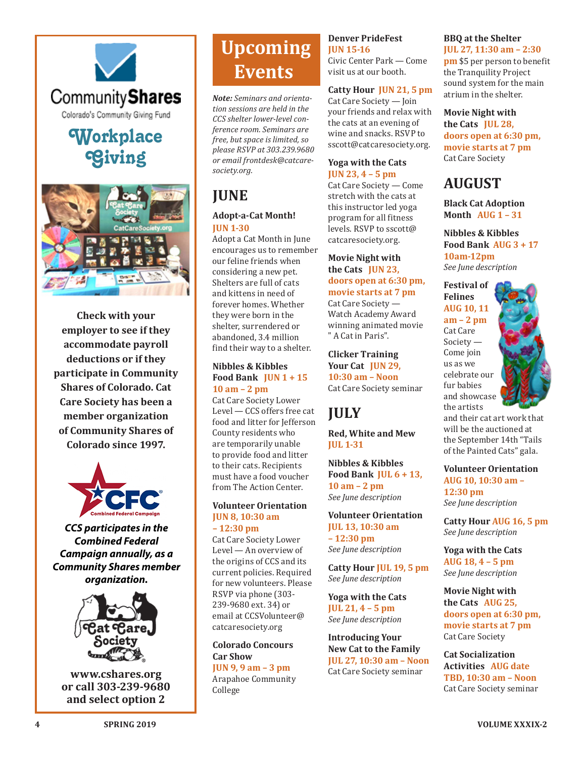

# **Workplace** [Workplace](http://www.cshares.org) **Giving**  Giving



*Check with your employer*  **Check with your**  *to see if they*  **employer to see if they**  *accommodate payroll*  **accommodate payroll**  *deductions or if they*  **deductions or if they**  *participate in Community*  **participate in Community**  *Shares of Colorado. Cat*  **Shares of Colorado. Cat**  *Care Society has been a*  **Care Society has been a**  member organization *Community Shares of*  **of Community Shares of**  *Colorado since 1997.* **Colorado since 1997.**



*CCS participates in the Combined Federal Campaign annually, as a Community Shares member organization.*



**www.cshares.org** *Or Call: 303.239.9680* **and select option 2 or call 303-239-9680**

# **Upcoming Events**

*Note: Seminars and orientation sessions are held in the CCS shelter lower-level conference room. Seminars are free, but space is limited, so please RSVP at 303.239.9680 or email [frontdesk@catcare](mailto:frontdesk@catcaresociety.org)[society.org](mailto:frontdesk@catcaresociety.org).*

# **JUNE**

#### **Adopt-a-Cat Month! JUN 1-30**

Adopt a Cat Month in June encourages us to remember our feline friends when considering a new pet. Shelters are full of cats and kittens in need of forever homes. Whether they were born in the shelter, surrendered or abandoned, 3.4 million find their way to a shelter.

#### **Nibbles & Kibbles Food Bank JUN 1 + 15 10 am – 2 pm**

Cat Care Society Lower Level — CCS offers free cat food and litter for Jefferson County residents who are temporarily unable to provide food and litter to their cats. Recipients must have a food voucher from The Action Center.

#### **Volunteer Orientation JUN 8, 10:30 am – 12:30 pm**

Cat Care Society Lower Level — An overview of the origins of CCS and its current policies. Required for new volunteers. Please RSVP via phone (303- 239-9680 ext. 34) or email at [CCSVolunteer@](mailto:CCSVolunteer@catcaresociety.org) [catcaresociety.org](mailto:CCSVolunteer@catcaresociety.org)

#### **Colorado Concours Car Show**

**JUN 9, 9 am – 3 pm** Arapahoe Community College

#### **Denver PrideFest JUN 15-16**

Civic Center Park — Come visit us at our booth.

#### **Catty Hour JUN 21, 5 pm**

Cat Care Society — Join your friends and relax with the cats at an evening of wine and snacks. RSVP to [sscott@catcaresociety.org](mailto:sscott@catcaresociety.org).

#### **Yoga with the Cats JUN 23, 4 – 5 pm**

Cat Care Society — Come stretch with the cats at this instructor led yoga program for all fitness levels. RSVP to [sscott@](mailto:sscott@catcaresociety.org) [catcaresociety.org](mailto:sscott@catcaresociety.org).

#### **Movie Night with the Cats JUN 23, doors open at 6:30 pm, movie starts at 7 pm** Cat Care Society —

Watch Academy Award winning animated movie " A Cat in Paris".

**Clicker Training Your Cat JUN 29, 10:30 am – Noon** Cat Care Society seminar

# **JULY**

**Red, White and Mew JUL 1-31**

**Nibbles & Kibbles Food Bank JUL 6 + 13, 10 am – 2 pm** *See June description*

**Volunteer Orientation JUL 13, 10:30 am – 12:30 pm** *See June description*

**Catty Hour JUL 19, 5 pm** *See June description*

**Yoga with the Cats JUL 21, 4 – 5 pm** *See June description*

**Introducing Your New Cat to the Family JUL 27, 10:30 am – Noon** Cat Care Society seminar

## **BBQ at the Shelter**

**JUL 27, 11:30 am – 2:30 pm** \$5 per person to benefit the Tranquility Project sound system for the main atrium in the shelter.

**Movie Night with the Cats JUL 28, doors open at 6:30 pm, movie starts at 7 pm** Cat Care Society

## **AUGUST**

**Black Cat Adoption Month AUG 1 – 31**

**Nibbles & Kibbles Food Bank AUG 3 + 17 10am-12pm** *See June description*

**Festival of Felines AUG 10, 11 am – 2 pm** Cat Care Society — Come join us as we celebrate our fur babies and showcase the artists



and their cat art work that will be the auctioned at the September 14th "Tails of the Painted Cats" gala.

#### **Volunteer Orientation**

**AUG 10, 10:30 am – 12:30 pm** *See June description*

**Catty Hour AUG 16, 5 pm** *See June description*

**Yoga with the Cats AUG 18, 4 – 5 pm** *See June description*

**Movie Night with the Cats AUG 25, doors open at 6:30 pm, movie starts at 7 pm** Cat Care Society

**Cat Socialization Activities AUG date TBD, 10:30 am – Noon** Cat Care Society seminar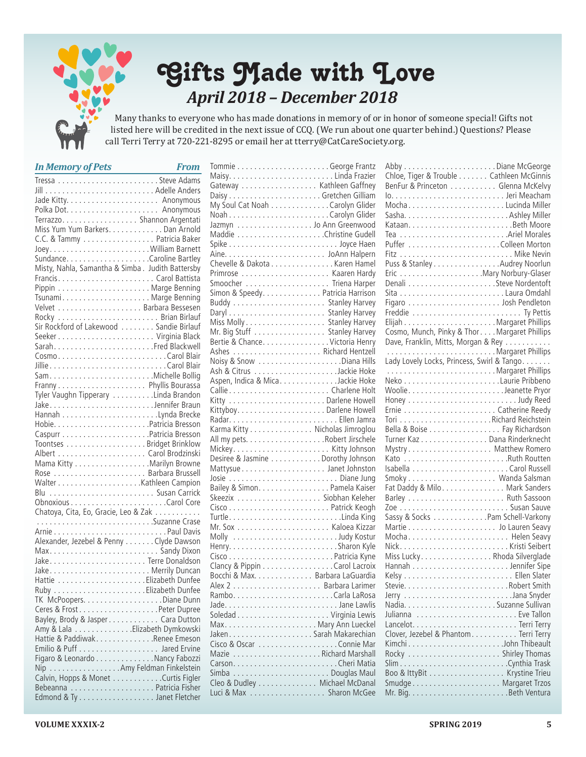

# Gifts Made with Love *April 2018 – December 2018*

Many thanks to everyone who has made donations in memory of or in honor of someone special! Gifts not listed here will be credited in the next issue of CCQ. (We run about one quarter behind.) Questions? Please call Terri Terry at 720-221-8295 or email her at tterry[@CatCareSociety.org.](mailto:hallen%40catcaresociety.org?subject=)

| <b>In Memory of Pets</b>                         | <b>From</b> |
|--------------------------------------------------|-------------|
|                                                  |             |
|                                                  |             |
|                                                  |             |
|                                                  |             |
|                                                  |             |
| Miss Yum Yum Barkers. Dan Arnold                 |             |
| C.C. & Tammy Patricia Baker                      |             |
| JoeyWilliam Barnett                              |             |
|                                                  |             |
| Misty, Nahla, Samantha & Simba. Judith Battersby |             |
|                                                  |             |
|                                                  |             |
| TsunamiMarge Benning                             |             |
|                                                  |             |
|                                                  |             |
| Sir Rockford of Lakewood Sandie Birlauf          |             |
|                                                  |             |
|                                                  |             |
|                                                  |             |
| CosmoCarol Blair                                 |             |
|                                                  |             |
|                                                  |             |
|                                                  |             |
| Tyler Vaughn Tipperary Linda Brandon             |             |
| JakeJennifer Braun                               |             |
|                                                  |             |
|                                                  |             |
|                                                  |             |
|                                                  |             |
|                                                  |             |
| Mama Kitty Marilyn Browne                        |             |
|                                                  |             |
|                                                  |             |
| Blu  Susan Carrick                               |             |
|                                                  |             |
| Chatoya, Cita, Eo, Gracie, Leo & Zak             |             |
| Suzanne Crase                                    |             |
|                                                  |             |
| Alexander, Jezebel & Penny Clyde Dawson          |             |
|                                                  |             |
|                                                  |             |
|                                                  |             |
|                                                  |             |
|                                                  |             |
|                                                  |             |
|                                                  |             |
| Bayley, Brody & Jasper Cara Dutton               |             |
| Amy & Lala Elizabeth Dymkowski                   |             |
| Hattie & Paddiwak. Renee Emeson                  |             |
|                                                  |             |
| Figaro & Leonardo Nancy Fabozzi                  |             |
| Nip Amy Feldman Finkelstein                      |             |
| Calvin, Hopps & Monet Curtis Figler              |             |
|                                                  |             |
|                                                  |             |

| Gateway Kathleen Gaffney          |
|-----------------------------------|
|                                   |
|                                   |
|                                   |
| Jazmyn Jo Ann Greenwood           |
|                                   |
|                                   |
|                                   |
| Chevelle & Dakota Karen Hamel     |
|                                   |
| Smoocher  Triena Harper           |
| Simon & Speedy. Patricia Harrison |
|                                   |
|                                   |
|                                   |
|                                   |
| Bertie & Chance. Victoria Henry   |
|                                   |
|                                   |
|                                   |
| Aspen, Indica & Mica. Jackie Hoke |
|                                   |
|                                   |
|                                   |
|                                   |
| Karma Kitty Nicholas Jimroglou    |
|                                   |
|                                   |
| Desiree & Jasmine Dorothy Johnson |
|                                   |
|                                   |
| Bailey & Simon. Pamela Kaiser     |
|                                   |
|                                   |
|                                   |
|                                   |
| Molly Judy Kostur                 |
|                                   |
|                                   |
| Clancy & Pippin Carol Lacroix     |
| Bocchi & Max. Barbara LaGuardia   |
|                                   |
|                                   |
|                                   |
|                                   |
|                                   |
|                                   |
|                                   |
|                                   |
|                                   |
|                                   |
| Cleo & Dudley Michael McDanal     |
| Luci & Max  Sharon McGee          |

| Chloe, Tiger & Trouble Cathleen McGinnis                                                                                                                                                                                       |  |
|--------------------------------------------------------------------------------------------------------------------------------------------------------------------------------------------------------------------------------|--|
| BenFur & Princeton Glenna McKelvy                                                                                                                                                                                              |  |
|                                                                                                                                                                                                                                |  |
| MochaLucinda Miller                                                                                                                                                                                                            |  |
|                                                                                                                                                                                                                                |  |
|                                                                                                                                                                                                                                |  |
|                                                                                                                                                                                                                                |  |
|                                                                                                                                                                                                                                |  |
|                                                                                                                                                                                                                                |  |
| Puss & Stanley Audrey Noorlun                                                                                                                                                                                                  |  |
|                                                                                                                                                                                                                                |  |
|                                                                                                                                                                                                                                |  |
|                                                                                                                                                                                                                                |  |
|                                                                                                                                                                                                                                |  |
|                                                                                                                                                                                                                                |  |
|                                                                                                                                                                                                                                |  |
| Cosmo, Munch, Pinky & Thor. Margaret Phillips                                                                                                                                                                                  |  |
| Dave, Franklin, Mitts, Morgan & Rey                                                                                                                                                                                            |  |
| Margaret Phillips                                                                                                                                                                                                              |  |
| Lady Lovely Locks, Princess, Swirl & Tango                                                                                                                                                                                     |  |
| Margaret Phillips                                                                                                                                                                                                              |  |
|                                                                                                                                                                                                                                |  |
|                                                                                                                                                                                                                                |  |
|                                                                                                                                                                                                                                |  |
|                                                                                                                                                                                                                                |  |
|                                                                                                                                                                                                                                |  |
| Bella & Boise Fay Richardson                                                                                                                                                                                                   |  |
| Turner Kaz Dana Rinderknecht                                                                                                                                                                                                   |  |
| Mystry Matthew Romero                                                                                                                                                                                                          |  |
|                                                                                                                                                                                                                                |  |
|                                                                                                                                                                                                                                |  |
|                                                                                                                                                                                                                                |  |
|                                                                                                                                                                                                                                |  |
| Fat Daddy & Milo. Mark Sanders                                                                                                                                                                                                 |  |
|                                                                                                                                                                                                                                |  |
|                                                                                                                                                                                                                                |  |
| Sassy & Socks Pam Schell-Varkony                                                                                                                                                                                               |  |
|                                                                                                                                                                                                                                |  |
| Mocha Helen Seavy                                                                                                                                                                                                              |  |
|                                                                                                                                                                                                                                |  |
| Miss Lucky. Rhoda Silverglade                                                                                                                                                                                                  |  |
|                                                                                                                                                                                                                                |  |
|                                                                                                                                                                                                                                |  |
| Stevie Communication of the Stevie Communication of the Stevens Stevens Stevens Stevens Stevens Stevens Stevens Stevens Stevens Stevens Stevens Stevens Stevens Stevens Stevens Stevens Stevens Stevens Stevens Stevens Steven |  |
|                                                                                                                                                                                                                                |  |
|                                                                                                                                                                                                                                |  |
|                                                                                                                                                                                                                                |  |
|                                                                                                                                                                                                                                |  |
| Clover, Jezebel & Phantom. Terri Terry                                                                                                                                                                                         |  |
| KimchiJohn Thibeault                                                                                                                                                                                                           |  |
|                                                                                                                                                                                                                                |  |
|                                                                                                                                                                                                                                |  |
| Boo & IttyBit Krystine Trieu                                                                                                                                                                                                   |  |
|                                                                                                                                                                                                                                |  |
|                                                                                                                                                                                                                                |  |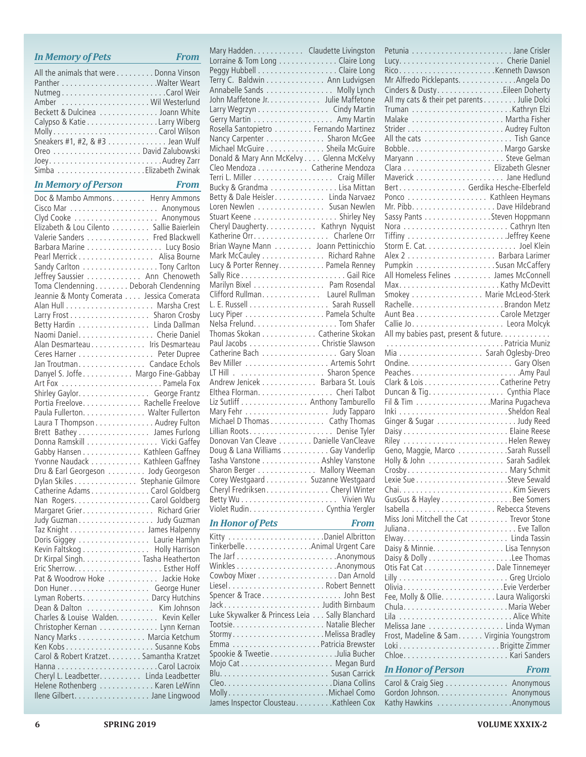|   | Elizabeth & Lou Cilento Sallie Baierlein<br>Valerie Sanders Fred Blackwell |
|---|----------------------------------------------------------------------------|
|   |                                                                            |
|   | Barbara Marine Lucy Bosio                                                  |
|   | Pearl Merrick Alisa Bourne                                                 |
|   | Sandy Carlton Tony Carlton                                                 |
|   | Jeffrey Saussier Ann Chenoweth                                             |
|   | Toma Clendenning Deborah Clendenning                                       |
|   | Jeannie & Monty Comerata Jessica Comerata                                  |
|   |                                                                            |
|   | Larry Frost Sharon Crosby                                                  |
|   |                                                                            |
|   | Betty Hardin Linda Dallman                                                 |
|   | Naomi Daniel. Cherie Daniel                                                |
|   | Alan Desmarteau Iris Desmarteau                                            |
|   | Ceres Harner Peter Dupree                                                  |
|   | Jan Troutman. Candace Echols                                               |
|   |                                                                            |
|   |                                                                            |
|   | Shirley Gaylor. George Frantz                                              |
|   | Portia Freelove. Rachelle Freelove                                         |
|   | Paula Fullerton. Walter Fullerton                                          |
|   | Laura T Thompson Audrey Fulton                                             |
|   | Brett Bathey James Furlong                                                 |
|   | Donna Ramskill Vicki Gaffey                                                |
|   | Gabby Hansen Kathleen Gaffney                                              |
|   |                                                                            |
|   | Yvonne Naudack Kathleen Gaffney                                            |
|   | Dru & Earl Georgeson Jody Georgeson                                        |
|   | Dylan Skiles Stephanie Gilmore                                             |
|   | Catherine Adams Carol Goldberg                                             |
|   | Nan Rogers. Carol Goldberg                                                 |
|   | Margaret Grier. Richard Grier                                              |
|   | Judy Guzman Judy Guzman                                                    |
|   | Taz Knight James Halpenny                                                  |
|   | Doris Giggey Laurie Hamlyn                                                 |
|   | Kevin Faltskog Holly Harrison<br>Dr Kirpal Singh. Tasha Heatherton         |
|   |                                                                            |
|   |                                                                            |
|   | Pat & Woodrow Hoke  Jackie Hoke                                            |
|   |                                                                            |
|   |                                                                            |
|   |                                                                            |
|   |                                                                            |
|   | Dean & Dalton Kim Johnson                                                  |
|   | Charles & Louise Walden. Kevin Keller                                      |
|   | Christopher Kernan Lynn Kernan                                             |
|   | Nancy Marks Marcia Ketchum                                                 |
|   |                                                                            |
|   | Carol & Robert Kratzet. Samantha Kratzet                                   |
|   |                                                                            |
|   | Cheryl L. Leadbetter. Linda Leadbetter                                     |
|   | Helene Rothenberg Karen LeWinn                                             |
|   | Ilene Gilbert. Jane Lingwood                                               |
|   |                                                                            |
|   |                                                                            |
| 6 | <b>SPRING 2019</b>                                                         |
|   |                                                                            |
|   |                                                                            |
|   |                                                                            |
|   |                                                                            |
|   |                                                                            |
|   |                                                                            |
|   |                                                                            |
|   |                                                                            |
|   |                                                                            |
|   |                                                                            |

All the animals that were  $\dots\dots$  Donna Vinson Panther . Walter Weart Nutmeg . Carol Weir Amber . . Wil Westerlund Beckett & Dulcinea . . . . . . . . . . . . . Joann White Calypso & Katie . . . . . . . . . . . . . . . . Larry Wiberg Molly . Carol Wilson Sneakers #1, #2, & #3 . . . . . . . . . . . . . Jean Wulf Oreo . . David Zalubowski Joey . Audrey Zarr Simba . Elizabeth Zwinak *In Memory of Person From* Doc & Mambo Ammons . . . . . . . . Henry Ammons Cisco Mar . Anonymous

*In Memory of Pets From*

| Mary Hadden. Claudette Livingston                                 |             |
|-------------------------------------------------------------------|-------------|
|                                                                   |             |
|                                                                   |             |
|                                                                   |             |
| Annabelle Sands Molly Lynch                                       |             |
| John Maffetone Jr. Julie Maffetone                                |             |
| Larry Wegrzyn Cindy Martin                                        |             |
|                                                                   |             |
| Gerry Martin Amy Martin                                           |             |
| Rosella Santopietro Fernando Martinez                             |             |
| Nancy Carpenter Sharon McGee                                      |             |
| Michael McGuire Sheila McGuire                                    |             |
| Donald & Mary Ann McKelvy Glenna McKelvy                          |             |
|                                                                   |             |
|                                                                   |             |
| Bucky & Grandma Lisa Mittan                                       |             |
|                                                                   |             |
| Betty & Dale Heisler. Linda Narvaez<br>Loren Newlen Susan Newlen  |             |
|                                                                   |             |
|                                                                   |             |
| Cheryl Daugherty. Kathryn Nyquist                                 |             |
| Katherine Orr. Charlene Orr                                       |             |
| Brian Wayne Mann Joann Pettinicchio                               |             |
| Mark McCauley Richard Rahne                                       |             |
| Lucy & Porter Renney. Pamela Renney                               |             |
|                                                                   |             |
| Marilyn Bixel Pam Rosendal                                        |             |
|                                                                   |             |
|                                                                   |             |
|                                                                   |             |
| Lucy Piper Pamela Schulte                                         |             |
|                                                                   |             |
| Thomas Skokan Catherine Skokan                                    |             |
| Paul Jacobs Christie Slawson                                      |             |
| Catherine Bach Gary Sloan                                         |             |
|                                                                   |             |
|                                                                   |             |
| Andrew Jenicek Barbara St. Louis                                  |             |
|                                                                   |             |
|                                                                   |             |
| Elthea Florman. Cheri Talbot                                      |             |
| Liz Sutliff Anthony Tamburello                                    |             |
| Mary Fehr Judy Tapparo                                            |             |
|                                                                   |             |
| Michael D Thomas Cathy Thomas                                     |             |
|                                                                   |             |
| Donovan Van Cleave Danielle VanCleave                             |             |
| Doug & Lana Williams Gay Vanderlip                                |             |
| Tasha Vanstone Ashley Vanstone                                    |             |
|                                                                   |             |
| Sharon Berger Mallory Weeman<br>Corey Westgaard Suzanne Westgaard |             |
| Cheryl Fredriksen. Cheryl Winter                                  |             |
|                                                                   |             |
|                                                                   |             |
| Violet Rudin. Cynthia Yergler                                     | <b>From</b> |
| In Honor of Pets                                                  |             |
|                                                                   |             |
| TinkerbelleAnimal Urgent Care                                     |             |
|                                                                   |             |
|                                                                   |             |
|                                                                   |             |
|                                                                   |             |
| Spencer & Trace John Best                                         |             |
|                                                                   |             |
| Luke Skywalker & Princess Leia Sally Blanchard                    |             |
|                                                                   |             |
|                                                                   |             |
| StormyMelissa Bradley                                             |             |
|                                                                   |             |
| Spookie & Tweetie Julia Bucher                                    |             |
|                                                                   |             |
|                                                                   |             |
|                                                                   |             |
| James Inspector Clousteau. Kathleen Cox                           |             |

| Mr Alfredo Picklepants. Angela Do           |
|---------------------------------------------|
| Cinders & Dusty. Eileen Doherty             |
| All my cats & their pet parents Julie Dolci |
|                                             |
| Malake  Martha Fisher                       |
|                                             |
|                                             |
|                                             |
|                                             |
|                                             |
|                                             |
| Bert. Gerdika Hesche-Elberfeld              |
|                                             |
|                                             |
| Sassy Pants Steven Hoppmann                 |
|                                             |
|                                             |
|                                             |
|                                             |
| Pumpkin Susan McCaffery                     |
| All Homeless Felines James McConnell        |
|                                             |
| Smokey Marie McLeod-Sterk                   |
|                                             |
|                                             |
|                                             |
| All my babies past, present & future.       |
| Patricia Muniz                              |
|                                             |
|                                             |
|                                             |
| Clark & Lois Catherine Petry                |
| Duncan & Tig. Cynthia Place                 |
| Fil & Tim Marina Pugacheva                  |
|                                             |
| Ginger & Sugar Judy Reed                    |
|                                             |
|                                             |
| Geno, Maggie, Marco Sarah Russell           |
| Holly & John Sarah Sadilek                  |
|                                             |
|                                             |
|                                             |
| GusGus & Hayley Bee Somers                  |
|                                             |
| Miss Joni Mitchell the Cat Trevor Stone     |
| Juliana Eve Tallon                          |
|                                             |
| Daisy & Minnie. Lisa Tennyson               |
|                                             |
| Otis Fat Cat Dale Tinnemeyer                |
|                                             |
|                                             |
| Fee, Molly & Ollie. Laura Waligorski        |
|                                             |
|                                             |
| Melissa Jane Linda Wyman                    |
| Frost, Madeline & Sam. Virginia Youngstrom  |
|                                             |
|                                             |
| <b>In Honor of Person</b><br><b>From</b>    |
| Carol & Craig Sieg Anonymous                |
| Gordon Johnson. Anonymous                   |

#### **6 SPRING 2019 VOLUME XXXIX-2**

Kathy Hawkins . . . . . . . . . . . . . . . . . . Anonymous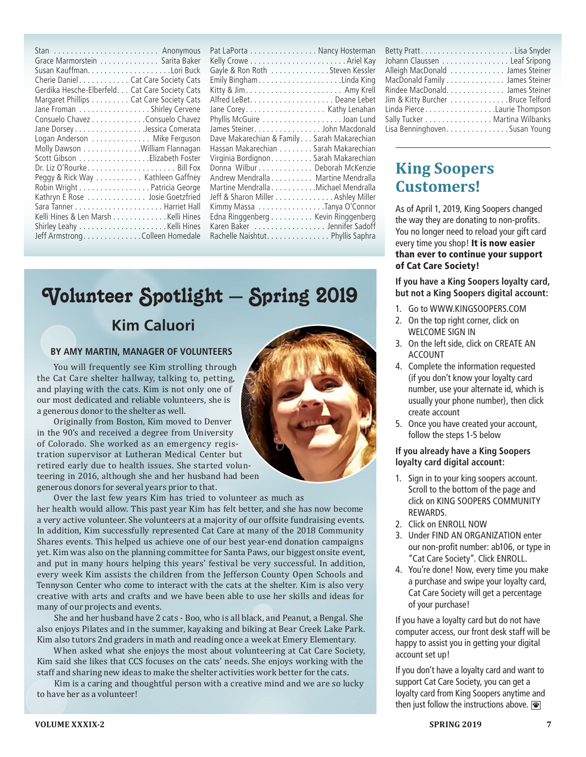| Stan  Anonymous                                 |
|-------------------------------------------------|
| Grace Marmorstein Sarita Baker                  |
|                                                 |
| Cherie Daniel Cat Care Society Cats             |
| Gerdika Hesche-Elberfeld. Cat Care Society Cats |
| Margaret Phillips Cat Care Society Cats         |
| Jane Froman Shirley Cervene                     |
| Consuelo Chavez Consuelo Chavez                 |
| Jane Dorsey Jessica Comerata                    |
| Logan Anderson Mike Ferguson                    |
| Molly Dawson William Flannagan                  |
| Scott Gibson Elizabeth Foster                   |
| Dr. Liz O'Rourke Bill Fox                       |
| Peggy & Rick Way Kathleen Gaffney               |
| Robin Wright Patricia George                    |
| Kathryn E Rose Josie Goetzfried                 |
|                                                 |
| Kelli Hines & Len Marsh Kelli Hines             |
|                                                 |
| Jeff Armstrong. Colleen Homedale                |

| Pat LaPorta Nancy Hosterman                 |
|---------------------------------------------|
|                                             |
| Gayle & Ron Roth Steven Kessler             |
|                                             |
|                                             |
|                                             |
|                                             |
| Phyllis McGuire Joan Lund                   |
| James Steiner. John Macdonald               |
| Dave Makarechian & Family Sarah Makarechian |
| Hassan Makarechian Sarah Makarechian        |
| Virginia Bordignon Sarah Makarechian        |
| Donna Wilbur Deborah McKenzie               |
| Andrew Mendralla Martine Mendralla          |
| Martine Mendralla Michael Mendralla         |
| Jeff & Sharon Miller Ashley Miller          |
| Kimmy Massa Tanya O'Connor                  |
| Edna Ringgenberg Kevin Ringgenberg          |
| Karen Baker Jennifer Sadoff                 |
| Rachelle Naishtut. Phyllis Saphra           |

# **Kim Caluori** Volunteer Spotlight – Spring 2019

#### **BY AMY MARTIN, MANAGER OF VOLUNTEERS**

You will frequently see Kim strolling through the Cat Care shelter hallway, talking to, petting, and playing with the cats. Kim is not only one of our most dedicated and reliable volunteers, she is a generous donor to the shelter as well.

Originally from Boston, Kim moved to Denver in the 90's and received a degree from University of Colorado. She worked as an emergency registration supervisor at Lutheran Medical Center but retired early due to health issues. She started volunteering in 2016, although she and her husband had been generous donors for several years prior to that.

Over the last few years Kim has tried to volunteer as much as her health would allow. This past year Kim has felt better, and she has now become a very active volunteer. She volunteers at a majority of our offsite fundraising events. In addition, Kim successfully represented Cat Care at many of the 2018 Community Shares events. This helped us achieve one of our best year-end donation campaigns yet. Kim was also on the planning committee for Santa Paws, our biggest onsite event, and put in many hours helping this years' festival be very successful. In addition, every week Kim assists the children from the Jefferson County Open Schools and Tennyson Center who come to interact with the cats at the shelter. Kim is also very creative with arts and crafts and we have been able to use her skills and ideas for many of our projects and events.

She and her husband have 2 cats - Boo, who is all black, and Peanut, a Bengal. She also enjoys Pilates and in the summer, kayaking and biking at Bear Creek Lake Park. Kim also tutors 2nd graders in math and reading once a week at Emery Elementary.

When asked what she enjoys the most about volunteering at Cat Care Society, Kim said she likes that CCS focuses on the cats' needs. She enjoys working with the staff and sharing new ideas to make the shelter activities work better for the cats.

Kim is a caring and thoughtful person with a creative mind and we are so lucky to have her as a volunteer!

| Betty Pratt Lisa Snyder           |
|-----------------------------------|
| Johann Claussen Leaf Sripong      |
| Alleigh MacDonald James Steiner   |
| MacDonald Family James Steiner    |
| Rindee MacDonald. James Steiner   |
| Jim & Kitty Burcher Bruce Telford |
| Linda PierceLaurie Thompson       |
| Sally Tucker Martina Wilbanks     |
| Lisa Benninghoven. Susan Young    |

### **King Soopers Customers!**

As of April 1, 2019, King Soopers changed the way they are donating to non-profits. You no longer need to reload your gift card every time you shop! It is now easier than ever to continue your support of Cat Care Society!

**If you have a King Soopers loyalty card, but not a King Soopers digital account:**

- 1. Go to WWW.KINGSOOPERS.COM
- 2. On the top right corner, click on WELCOME SIGN IN
- 3. On the left side, click on CREATE AN ACCOUNT
- 4. Complete the information requested (if you don't know your loyalty card number, use your alternate id, which is usually your phone number), then click create account
- 5. Once you have created your account, follow the steps 1-5 below

#### **If you already have a King Soopers loyalty card digital account:**

- 1. Sign in to your king soopers account. Scroll to the bottom of the page and click on KING SOOPERS COMMUNITY REWARDS.
- 2. Click on ENROLL NOW
- 3. Under FIND AN ORGANIZATION enter our non-profit number: ab106, or type in "Cat Care Society". Click ENROLL.
- 4. You're done! Now, every time you make a purchase and swipe your loyalty card, Cat Care Society will get a percentage of your purchase!

If you have a loyalty card but do not have computer access, our front desk staff will be happy to assist you in getting your digital account set up!

If you don't have a loyalty card and want to support Cat Care Society, you can get a loyalty card from King Soopers anytime and then just follow the instructions above.